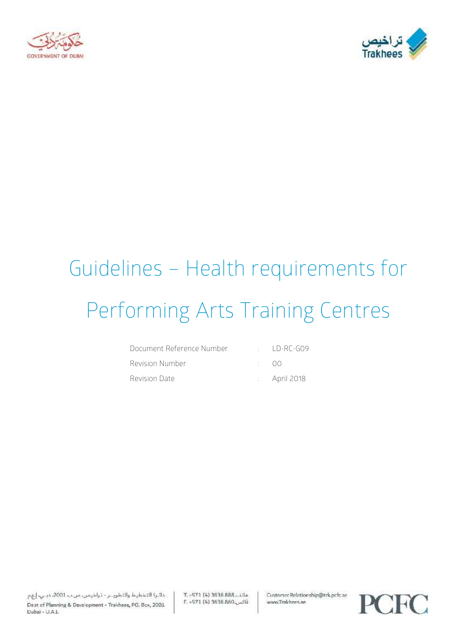



# Guidelines – Health requirements for Performing Arts Training Centres

| - Document Reference Number | $\cdot$ ID-RC-GO9       |
|-----------------------------|-------------------------|
| Revision Number             | (1)                     |
| Revision Date               | $\therefore$ April 2018 |

دائرة التخطيط والتطويــر - تراخيمن، من ب 2001، دبـي، إيهم Dept of Planning & Development - Trakhees, PO. Box, 2001 Dubai - U.A.L.

T. - 971 (4) 3636 888. Lila E. -971 (4) 3636 860 Customer.Relationship@trk.pcfc.ae www.Trakhees.ae

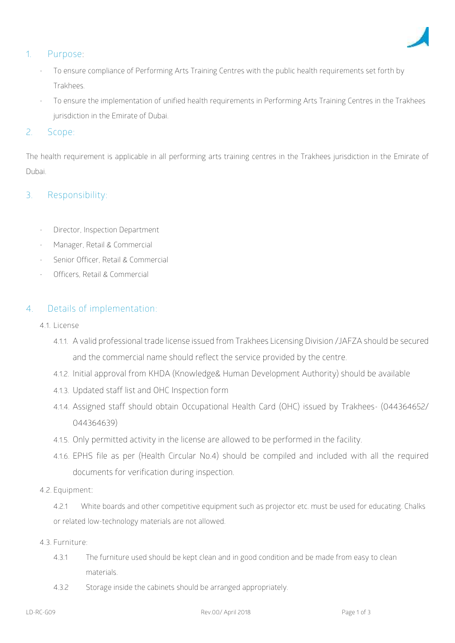

#### **1. Purpose:**

- To ensure compliance of Performing Arts Training Centres with the public health requirements set forth by Trakhees.
- To ensure the implementation of unified health requirements in Performing Arts Training Centres in the Trakhees jurisdiction in the Emirate of Dubai.

#### 2. **Scope**:

The health requirement is applicable in all performing arts training centres in the Trakhees jurisdiction in the Emirate of Dubai.

## **3. Responsibility:**

- Director, Inspection Department
- Manager, Retail & Commercial
- Senior Officer, Retail & Commercial
- Officers, Retail & Commercial

## **4. Details of implementation**:

- **4.1. License**
	- 4.1.1. A valid professional trade license issued from Trakhees Licensing Division /JAFZA should be secured and the commercial name should reflect the service provided by the centre.
	- 4.1.2. Initial approval from KHDA (Knowledge& Human Development Authority) should be available
	- 4.1.3. Updated staff list and OHC Inspection form
	- 4.1.4. Assigned staff should obtain Occupational Health Card (OHC) issued by Trakhees- (044364652/ 044364639)
	- 4.1.5. Only permitted activity in the license are allowed to be performed in the facility.
	- 4.1.6. EPHS file as per (Health Circular No.4) should be compiled and included with all the required documents for verification during inspection.
- **4.2. Equipment:**

4.2.1 White boards and other competitive equipment such as projector etc. must be used for educating. Chalks or related low-technology materials are not allowed.

- **4.3. Furniture:**
	- 4.3.1 The furniture used should be kept clean and in good condition and be made from easy to clean materials.
	- 4.3.2 Storage inside the cabinets should be arranged appropriately.